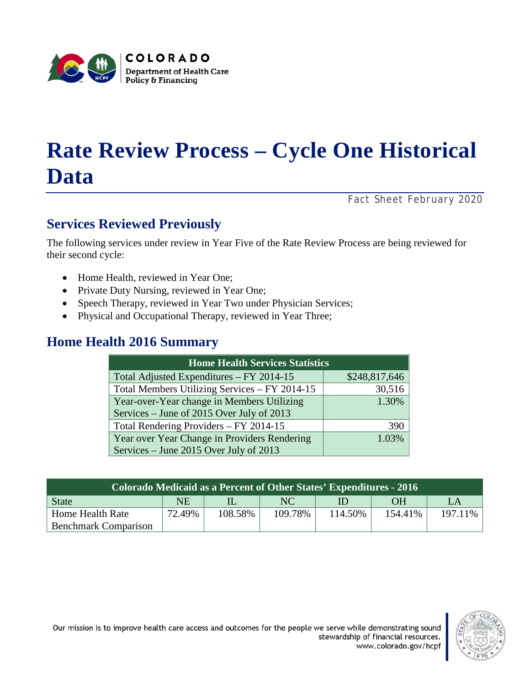

# **Rate Review Process – Cycle One Historical Data**

*Fact Sheet February 2020*

## **Services Reviewed Previously**

The following services under review in Year Five of the Rate Review Process are being reviewed for their second cycle:

- Home Health, reviewed in Year One;
- Private Duty Nursing, reviewed in Year One;
- Speech Therapy, reviewed in Year Two under Physician Services;
- Physical and Occupational Therapy, reviewed in Year Three;

### **Home Health 2016 Summary**

| <b>Home Health Services Statistics</b>        |               |  |  |  |
|-----------------------------------------------|---------------|--|--|--|
| Total Adjusted Expenditures - FY 2014-15      | \$248,817,646 |  |  |  |
| Total Members Utilizing Services - FY 2014-15 | 30,516        |  |  |  |
| Year-over-Year change in Members Utilizing    | 1.30%         |  |  |  |
| Services – June of 2015 Over July of 2013     |               |  |  |  |
| Total Rendering Providers - FY 2014-15        | 390           |  |  |  |
| Year over Year Change in Providers Rendering  | 1.03%         |  |  |  |
| Services – June 2015 Over July of 2013        |               |  |  |  |

| Colorado Medicaid as a Percent of Other States' Expenditures - 2016 |        |         |         |         |           |         |
|---------------------------------------------------------------------|--------|---------|---------|---------|-----------|---------|
| <b>State</b>                                                        | NE     |         | NC      | ID      | <b>OH</b> | LA      |
| Home Health Rate                                                    | 72.49% | 108.58% | 109.78% | 114.50% | 154.41%   | 197.11% |
| <b>Benchmark Comparison</b>                                         |        |         |         |         |           |         |

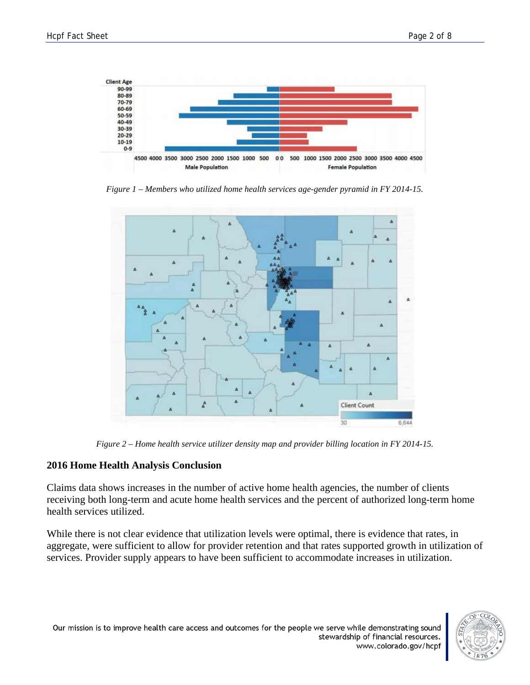

*Figure 1 – Members who utilized home health services age-gender pyramid in FY 2014-15.*



*Figure 2 – Home health service utilizer density map and provider billing location in FY 2014-15.*

### **2016 Home Health Analysis Conclusion**

Claims data shows increases in the number of active home health agencies, the number of clients receiving both long-term and acute home health services and the percent of authorized long-term home health services utilized.

While there is not clear evidence that utilization levels were optimal, there is evidence that rates, in aggregate, were sufficient to allow for provider retention and that rates supported growth in utilization of services. Provider supply appears to have been sufficient to accommodate increases in utilization.



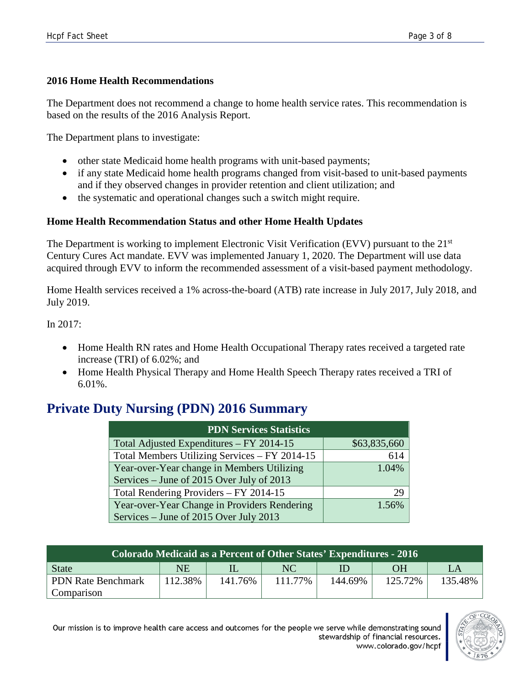### **2016 Home Health Recommendations**

The Department does not recommend a change to home health service rates. This recommendation is based on the results of the 2016 Analysis Report.

The Department plans to investigate:

- other state Medicaid home health programs with unit-based payments;
- if any state Medicaid home health programs changed from visit-based to unit-based payments and if they observed changes in provider retention and client utilization; and
- the systematic and operational changes such a switch might require.

### **Home Health Recommendation Status and other Home Health Updates**

The Department is working to implement Electronic Visit Verification (EVV) pursuant to the 21<sup>st</sup> Century Cures Act mandate. EVV was implemented January 1, 2020. The Department will use data acquired through EVV to inform the recommended assessment of a visit-based payment methodology.

Home Health services received a 1% across-the-board (ATB) rate increase in July 2017, July 2018, and July 2019.

In 2017:

- Home Health RN rates and Home Health Occupational Therapy rates received a targeted rate increase (TRI) of 6.02%; and
- Home Health Physical Therapy and Home Health Speech Therapy rates received a TRI of 6.01%.

### **Private Duty Nursing (PDN) 2016 Summary**

| <b>PDN Services Statistics</b>                |              |  |  |  |
|-----------------------------------------------|--------------|--|--|--|
| Total Adjusted Expenditures - FY 2014-15      | \$63,835,660 |  |  |  |
| Total Members Utilizing Services - FY 2014-15 | 614          |  |  |  |
| Year-over-Year change in Members Utilizing    | 1.04%        |  |  |  |
| Services – June of 2015 Over July of 2013     |              |  |  |  |
| Total Rendering Providers - FY 2014-15        | 29           |  |  |  |
| Year-over-Year Change in Providers Rendering  | 1.56%        |  |  |  |
| Services – June of 2015 Over July 2013        |              |  |  |  |

| Colorado Medicaid as a Percent of Other States' Expenditures - 2016 |         |         |         |         |           |         |
|---------------------------------------------------------------------|---------|---------|---------|---------|-----------|---------|
| State                                                               | NE      |         | NC.     | ID      | <b>OH</b> | LA      |
| <b>PDN Rate Benchmark</b>                                           | 112.38% | 141.76% | 111.77% | 144.69% | 125.72%   | 135.48% |
| Comparison                                                          |         |         |         |         |           |         |

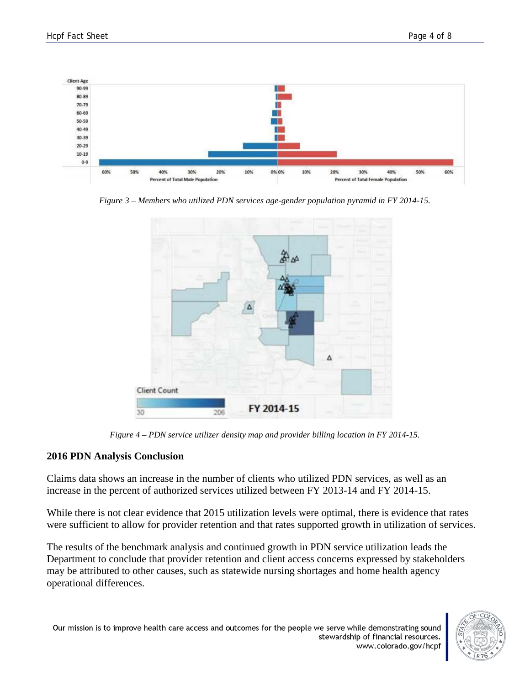

*Figure 3 – Members who utilized PDN services age-gender population pyramid in FY 2014-15.*



*Figure 4 – PDN service utilizer density map and provider billing location in FY 2014-15.*

### **2016 PDN Analysis Conclusion**

Claims data shows an increase in the number of clients who utilized PDN services, as well as an increase in the percent of authorized services utilized between FY 2013-14 and FY 2014-15.

While there is not clear evidence that 2015 utilization levels were optimal, there is evidence that rates were sufficient to allow for provider retention and that rates supported growth in utilization of services.

The results of the benchmark analysis and continued growth in PDN service utilization leads the Department to conclude that provider retention and client access concerns expressed by stakeholders may be attributed to other causes, such as statewide nursing shortages and home health agency operational differences.

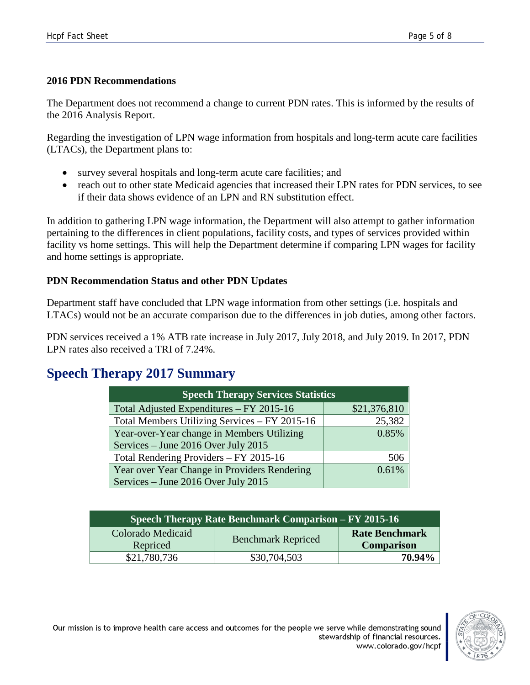### **2016 PDN Recommendations**

The Department does not recommend a change to current PDN rates. This is informed by the results of the 2016 Analysis Report.

Regarding the investigation of LPN wage information from hospitals and long-term acute care facilities (LTACs), the Department plans to:

- survey several hospitals and long-term acute care facilities; and
- reach out to other state Medicaid agencies that increased their LPN rates for PDN services, to see if their data shows evidence of an LPN and RN substitution effect.

In addition to gathering LPN wage information, the Department will also attempt to gather information pertaining to the differences in client populations, facility costs, and types of services provided within facility vs home settings. This will help the Department determine if comparing LPN wages for facility and home settings is appropriate.

### **PDN Recommendation Status and other PDN Updates**

Department staff have concluded that LPN wage information from other settings (i.e. hospitals and LTACs) would not be an accurate comparison due to the differences in job duties, among other factors.

PDN services received a 1% ATB rate increase in July 2017, July 2018, and July 2019. In 2017, PDN LPN rates also received a TRI of 7.24%.

### **Speech Therapy 2017 Summary**

| <b>Speech Therapy Services Statistics</b>     |              |  |  |  |
|-----------------------------------------------|--------------|--|--|--|
| Total Adjusted Expenditures - FY 2015-16      | \$21,376,810 |  |  |  |
| Total Members Utilizing Services - FY 2015-16 | 25,382       |  |  |  |
| Year-over-Year change in Members Utilizing    | 0.85%        |  |  |  |
| Services – June 2016 Over July 2015           |              |  |  |  |
| Total Rendering Providers – FY 2015-16        | 506          |  |  |  |
| Year over Year Change in Providers Rendering  | 0.61%        |  |  |  |
| Services – June 2016 Over July 2015           |              |  |  |  |

| Speech Therapy Rate Benchmark Comparison – FY 2015-16 |                           |                                            |  |
|-------------------------------------------------------|---------------------------|--------------------------------------------|--|
| Colorado Medicaid<br>Repriced                         | <b>Benchmark Repriced</b> | <b>Rate Benchmark</b><br><b>Comparison</b> |  |
| \$21,780,736                                          | \$30,704,503              | 70.94%                                     |  |

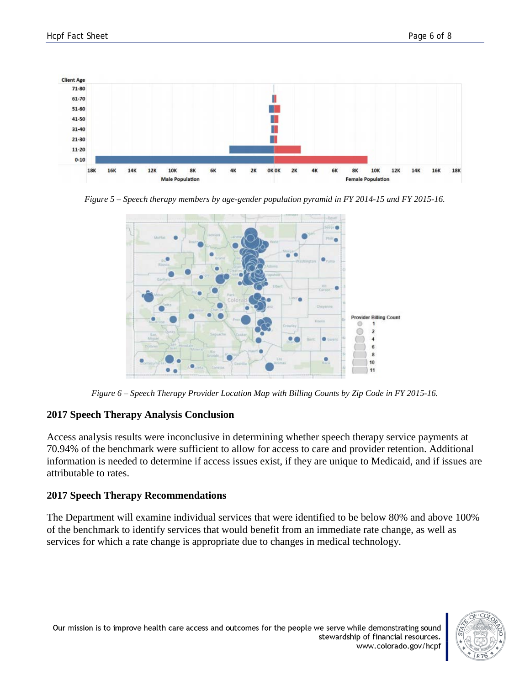

*Figure 5 – Speech therapy members by age-gender population pyramid in FY 2014-15 and FY 2015-16.*



*Figure 6 – Speech Therapy Provider Location Map with Billing Counts by Zip Code in FY 2015-16.*

### **2017 Speech Therapy Analysis Conclusion**

Access analysis results were inconclusive in determining whether speech therapy service payments at 70.94% of the benchmark were sufficient to allow for access to care and provider retention. Additional information is needed to determine if access issues exist, if they are unique to Medicaid, and if issues are attributable to rates.

### **2017 Speech Therapy Recommendations**

The Department will examine individual services that were identified to be below 80% and above 100% of the benchmark to identify services that would benefit from an immediate rate change, as well as services for which a rate change is appropriate due to changes in medical technology.

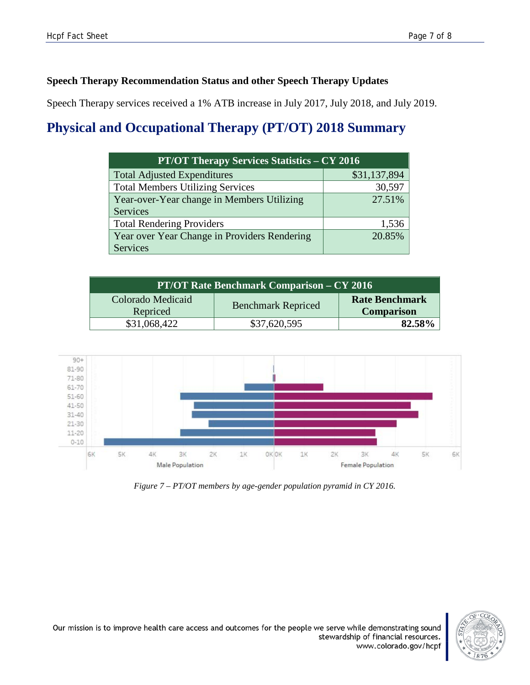### **Speech Therapy Recommendation Status and other Speech Therapy Updates**

Speech Therapy services received a 1% ATB increase in July 2017, July 2018, and July 2019.

# **Physical and Occupational Therapy (PT/OT) 2018 Summary**

| <b>PT/OT Therapy Services Statistics – CY 2016</b> |              |  |  |  |
|----------------------------------------------------|--------------|--|--|--|
| <b>Total Adjusted Expenditures</b>                 | \$31,137,894 |  |  |  |
| <b>Total Members Utilizing Services</b>            | 30,597       |  |  |  |
| Year-over-Year change in Members Utilizing         | 27.51%       |  |  |  |
| Services                                           |              |  |  |  |
| <b>Total Rendering Providers</b>                   | 1,536        |  |  |  |
| Year over Year Change in Providers Rendering       | 20.85%       |  |  |  |
| Services                                           |              |  |  |  |

| <b>PT/OT Rate Benchmark Comparison – CY 2016</b> |                           |                                            |  |
|--------------------------------------------------|---------------------------|--------------------------------------------|--|
| Colorado Medicaid<br>Repriced                    | <b>Benchmark Repriced</b> | <b>Rate Benchmark</b><br><b>Comparison</b> |  |
| \$31,068,422                                     | \$37,620,595              | 82.58%                                     |  |



*Figure 7 – PT/OT members by age-gender population pyramid in CY 2016.*